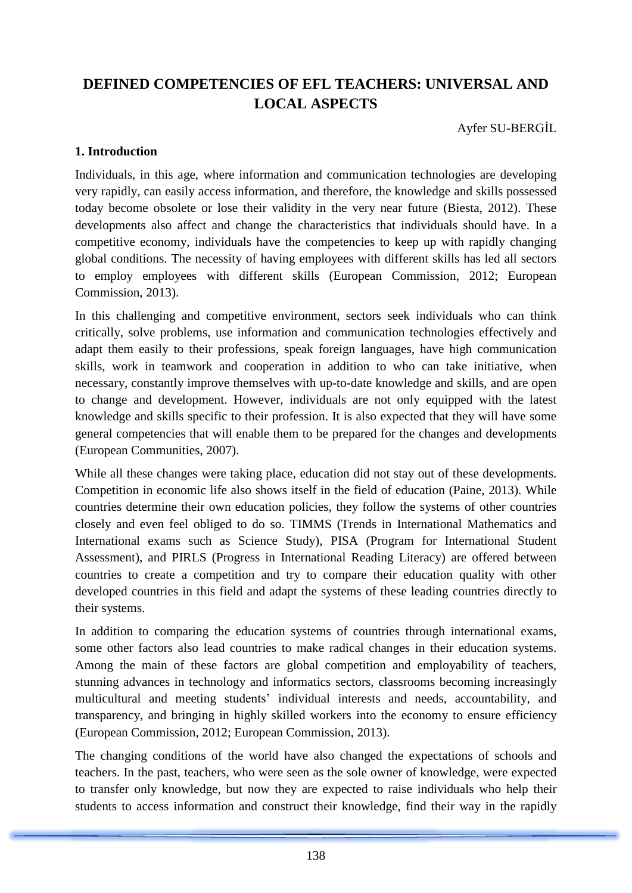# **DEFINED COMPETENCIES OF EFL TEACHERS: UNIVERSAL AND LOCAL ASPECTS**

Ayfer SU-BERGİL

# **1. Introduction**

Individuals, in this age, where information and communication technologies are developing very rapidly, can easily access information, and therefore, the knowledge and skills possessed today become obsolete or lose their validity in the very near future (Biesta, 2012). These developments also affect and change the characteristics that individuals should have. In a competitive economy, individuals have the competencies to keep up with rapidly changing global conditions. The necessity of having employees with different skills has led all sectors to employ employees with different skills (European Commission, 2012; European Commission, 2013).

In this challenging and competitive environment, sectors seek individuals who can think critically, solve problems, use information and communication technologies effectively and adapt them easily to their professions, speak foreign languages, have high communication skills, work in teamwork and cooperation in addition to who can take initiative, when necessary, constantly improve themselves with up-to-date knowledge and skills, and are open to change and development. However, individuals are not only equipped with the latest knowledge and skills specific to their profession. It is also expected that they will have some general competencies that will enable them to be prepared for the changes and developments (European Communities, 2007).

While all these changes were taking place, education did not stay out of these developments. Competition in economic life also shows itself in the field of education (Paine, 2013). While countries determine their own education policies, they follow the systems of other countries closely and even feel obliged to do so. TIMMS (Trends in International Mathematics and International exams such as Science Study), PISA (Program for International Student Assessment), and PIRLS (Progress in International Reading Literacy) are offered between countries to create a competition and try to compare their education quality with other developed countries in this field and adapt the systems of these leading countries directly to their systems.

In addition to comparing the education systems of countries through international exams, some other factors also lead countries to make radical changes in their education systems. Among the main of these factors are global competition and employability of teachers, stunning advances in technology and informatics sectors, classrooms becoming increasingly multicultural and meeting students' individual interests and needs, accountability, and transparency, and bringing in highly skilled workers into the economy to ensure efficiency (European Commission, 2012; European Commission, 2013).

The changing conditions of the world have also changed the expectations of schools and teachers. In the past, teachers, who were seen as the sole owner of knowledge, were expected to transfer only knowledge, but now they are expected to raise individuals who help their students to access information and construct their knowledge, find their way in the rapidly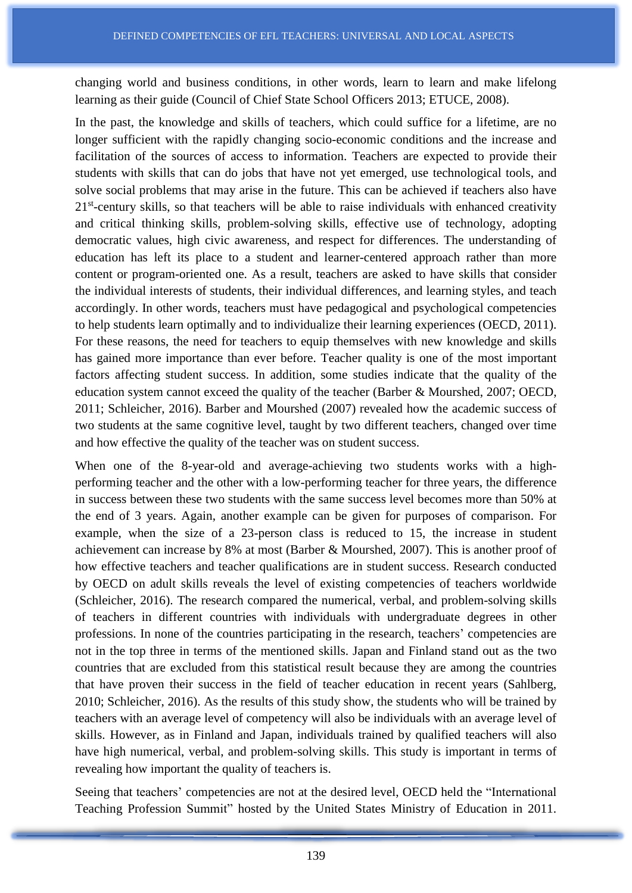changing world and business conditions, in other words, learn to learn and make lifelong learning as their guide (Council of Chief State School Officers 2013; ETUCE, 2008).

In the past, the knowledge and skills of teachers, which could suffice for a lifetime, are no longer sufficient with the rapidly changing socio-economic conditions and the increase and facilitation of the sources of access to information. Teachers are expected to provide their students with skills that can do jobs that have not yet emerged, use technological tools, and solve social problems that may arise in the future. This can be achieved if teachers also have 21<sup>st</sup>-century skills, so that teachers will be able to raise individuals with enhanced creativity and critical thinking skills, problem-solving skills, effective use of technology, adopting democratic values, high civic awareness, and respect for differences. The understanding of education has left its place to a student and learner-centered approach rather than more content or program-oriented one. As a result, teachers are asked to have skills that consider the individual interests of students, their individual differences, and learning styles, and teach accordingly. In other words, teachers must have pedagogical and psychological competencies to help students learn optimally and to individualize their learning experiences (OECD, 2011). For these reasons, the need for teachers to equip themselves with new knowledge and skills has gained more importance than ever before. Teacher quality is one of the most important factors affecting student success. In addition, some studies indicate that the quality of the education system cannot exceed the quality of the teacher (Barber & Mourshed, 2007; OECD, 2011; Schleicher, 2016). Barber and Mourshed (2007) revealed how the academic success of two students at the same cognitive level, taught by two different teachers, changed over time and how effective the quality of the teacher was on student success.

When one of the 8-year-old and average-achieving two students works with a highperforming teacher and the other with a low-performing teacher for three years, the difference in success between these two students with the same success level becomes more than 50% at the end of 3 years. Again, another example can be given for purposes of comparison. For example, when the size of a 23-person class is reduced to 15, the increase in student achievement can increase by 8% at most (Barber & Mourshed, 2007). This is another proof of how effective teachers and teacher qualifications are in student success. Research conducted by OECD on adult skills reveals the level of existing competencies of teachers worldwide (Schleicher, 2016). The research compared the numerical, verbal, and problem-solving skills of teachers in different countries with individuals with undergraduate degrees in other professions. In none of the countries participating in the research, teachers' competencies are not in the top three in terms of the mentioned skills. Japan and Finland stand out as the two countries that are excluded from this statistical result because they are among the countries that have proven their success in the field of teacher education in recent years (Sahlberg, 2010; Schleicher, 2016). As the results of this study show, the students who will be trained by teachers with an average level of competency will also be individuals with an average level of skills. However, as in Finland and Japan, individuals trained by qualified teachers will also have high numerical, verbal, and problem-solving skills. This study is important in terms of revealing how important the quality of teachers is.

Seeing that teachers' competencies are not at the desired level, OECD held the "International Teaching Profession Summit" hosted by the United States Ministry of Education in 2011.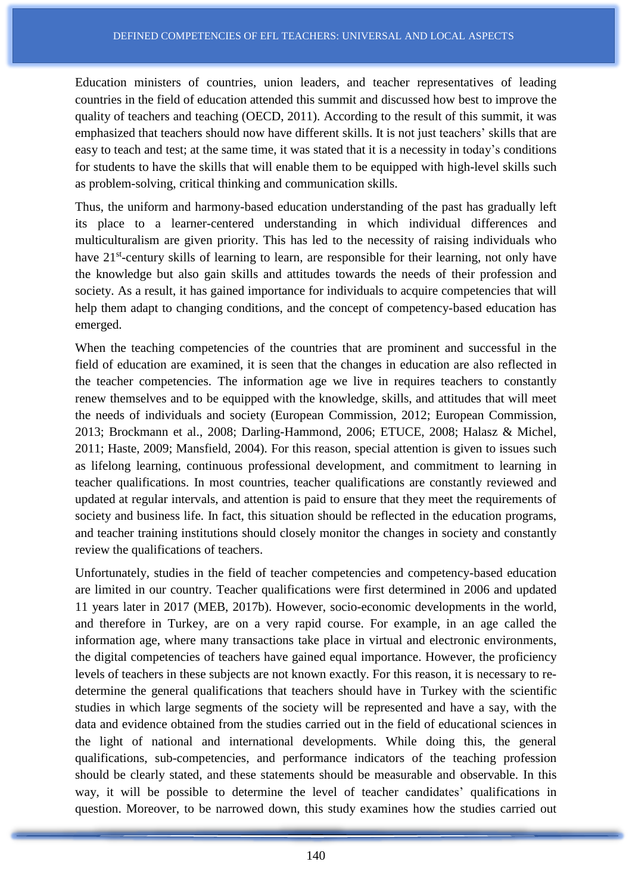Education ministers of countries, union leaders, and teacher representatives of leading countries in the field of education attended this summit and discussed how best to improve the quality of teachers and teaching (OECD, 2011). According to the result of this summit, it was emphasized that teachers should now have different skills. It is not just teachers' skills that are easy to teach and test; at the same time, it was stated that it is a necessity in today's conditions for students to have the skills that will enable them to be equipped with high-level skills such as problem-solving, critical thinking and communication skills.

Thus, the uniform and harmony-based education understanding of the past has gradually left its place to a learner-centered understanding in which individual differences and multiculturalism are given priority. This has led to the necessity of raising individuals who have 21<sup>st</sup>-century skills of learning to learn, are responsible for their learning, not only have the knowledge but also gain skills and attitudes towards the needs of their profession and society. As a result, it has gained importance for individuals to acquire competencies that will help them adapt to changing conditions, and the concept of competency-based education has emerged.

When the teaching competencies of the countries that are prominent and successful in the field of education are examined, it is seen that the changes in education are also reflected in the teacher competencies. The information age we live in requires teachers to constantly renew themselves and to be equipped with the knowledge, skills, and attitudes that will meet the needs of individuals and society (European Commission, 2012; European Commission, 2013; Brockmann et al., 2008; Darling-Hammond, 2006; ETUCE, 2008; Halasz & Michel, 2011; Haste, 2009; Mansfield, 2004). For this reason, special attention is given to issues such as lifelong learning, continuous professional development, and commitment to learning in teacher qualifications. In most countries, teacher qualifications are constantly reviewed and updated at regular intervals, and attention is paid to ensure that they meet the requirements of society and business life. In fact, this situation should be reflected in the education programs, and teacher training institutions should closely monitor the changes in society and constantly review the qualifications of teachers.

Unfortunately, studies in the field of teacher competencies and competency-based education are limited in our country. Teacher qualifications were first determined in 2006 and updated 11 years later in 2017 (MEB, 2017b). However, socio-economic developments in the world, and therefore in Turkey, are on a very rapid course. For example, in an age called the information age, where many transactions take place in virtual and electronic environments, the digital competencies of teachers have gained equal importance. However, the proficiency levels of teachers in these subjects are not known exactly. For this reason, it is necessary to redetermine the general qualifications that teachers should have in Turkey with the scientific studies in which large segments of the society will be represented and have a say, with the data and evidence obtained from the studies carried out in the field of educational sciences in the light of national and international developments. While doing this, the general qualifications, sub-competencies, and performance indicators of the teaching profession should be clearly stated, and these statements should be measurable and observable. In this way, it will be possible to determine the level of teacher candidates' qualifications in question. Moreover, to be narrowed down, this study examines how the studies carried out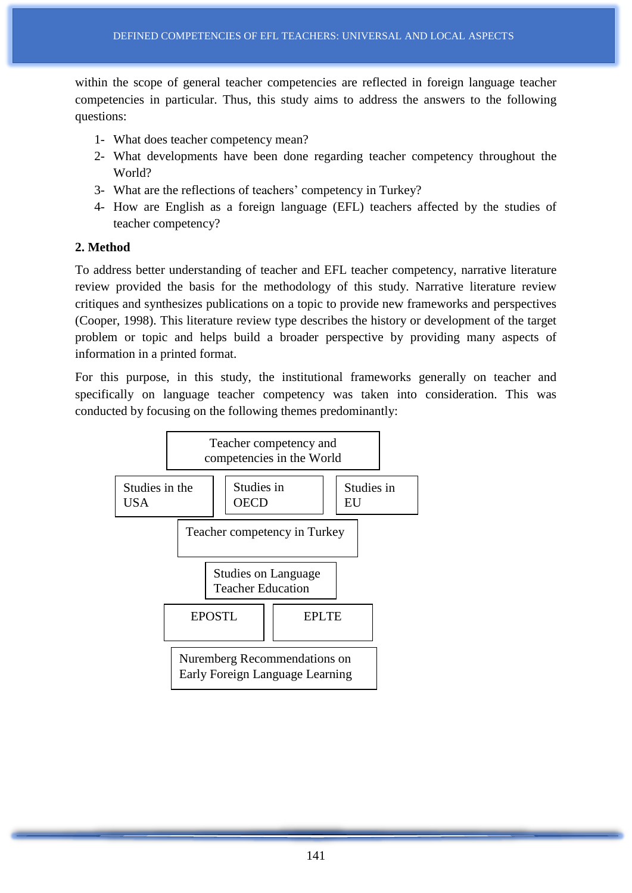within the scope of general teacher competencies are reflected in foreign language teacher competencies in particular. Thus, this study aims to address the answers to the following questions:

- 1- What does teacher competency mean?
- 2- What developments have been done regarding teacher competency throughout the World?
- 3- What are the reflections of teachers' competency in Turkey?
- 4- How are English as a foreign language (EFL) teachers affected by the studies of teacher competency?

#### **2. Method**

To address better understanding of teacher and EFL teacher competency, narrative literature review provided the basis for the methodology of this study. Narrative literature review critiques and synthesizes publications on a topic to provide new frameworks and perspectives (Cooper, 1998). This literature review type describes the history or development of the target problem or topic and helps build a broader perspective by providing many aspects of information in a printed format.

For this purpose, in this study, the institutional frameworks generally on teacher and specifically on language teacher competency was taken into consideration. This was conducted by focusing on the following themes predominantly:

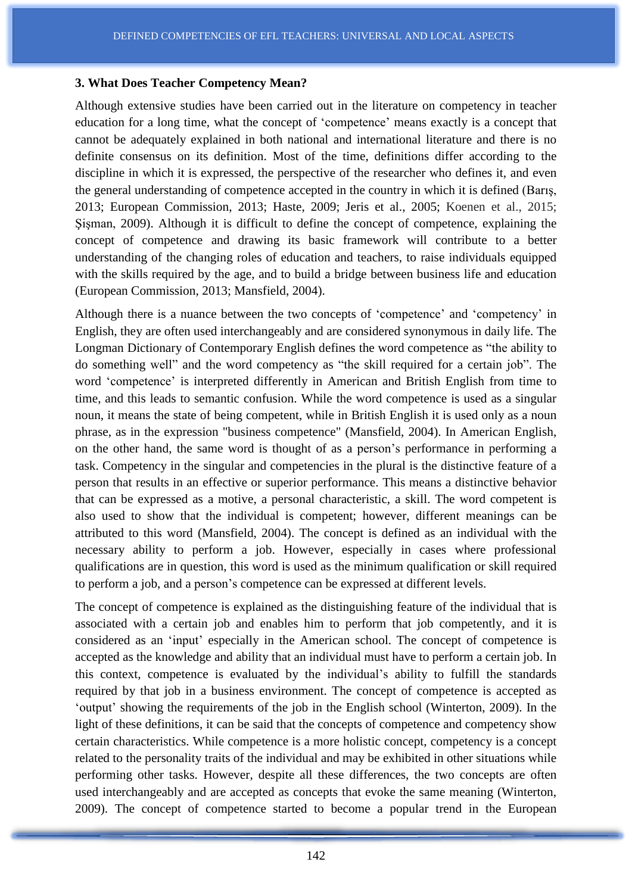#### **3. What Does Teacher Competency Mean?**

Although extensive studies have been carried out in the literature on competency in teacher education for a long time, what the concept of 'competence' means exactly is a concept that cannot be adequately explained in both national and international literature and there is no definite consensus on its definition. Most of the time, definitions differ according to the discipline in which it is expressed, the perspective of the researcher who defines it, and even the general understanding of competence accepted in the country in which it is defined (Barış, 2013; European Commission, 2013; Haste, 2009; Jeris et al., 2005; Koenen et al., 2015; Şişman, 2009). Although it is difficult to define the concept of competence, explaining the concept of competence and drawing its basic framework will contribute to a better understanding of the changing roles of education and teachers, to raise individuals equipped with the skills required by the age, and to build a bridge between business life and education (European Commission, 2013; Mansfield, 2004).

Although there is a nuance between the two concepts of 'competence' and 'competency' in English, they are often used interchangeably and are considered synonymous in daily life. The Longman Dictionary of Contemporary English defines the word competence as "the ability to do something well" and the word competency as "the skill required for a certain job". The word 'competence' is interpreted differently in American and British English from time to time, and this leads to semantic confusion. While the word competence is used as a singular noun, it means the state of being competent, while in British English it is used only as a noun phrase, as in the expression "business competence" (Mansfield, 2004). In American English, on the other hand, the same word is thought of as a person's performance in performing a task. Competency in the singular and competencies in the plural is the distinctive feature of a person that results in an effective or superior performance. This means a distinctive behavior that can be expressed as a motive, a personal characteristic, a skill. The word competent is also used to show that the individual is competent; however, different meanings can be attributed to this word (Mansfield, 2004). The concept is defined as an individual with the necessary ability to perform a job. However, especially in cases where professional qualifications are in question, this word is used as the minimum qualification or skill required to perform a job, and a person's competence can be expressed at different levels.

The concept of competence is explained as the distinguishing feature of the individual that is associated with a certain job and enables him to perform that job competently, and it is considered as an 'input' especially in the American school. The concept of competence is accepted as the knowledge and ability that an individual must have to perform a certain job. In this context, competence is evaluated by the individual's ability to fulfill the standards required by that job in a business environment. The concept of competence is accepted as 'output' showing the requirements of the job in the English school (Winterton, 2009). In the light of these definitions, it can be said that the concepts of competence and competency show certain characteristics. While competence is a more holistic concept, competency is a concept related to the personality traits of the individual and may be exhibited in other situations while performing other tasks. However, despite all these differences, the two concepts are often used interchangeably and are accepted as concepts that evoke the same meaning (Winterton, 2009). The concept of competence started to become a popular trend in the European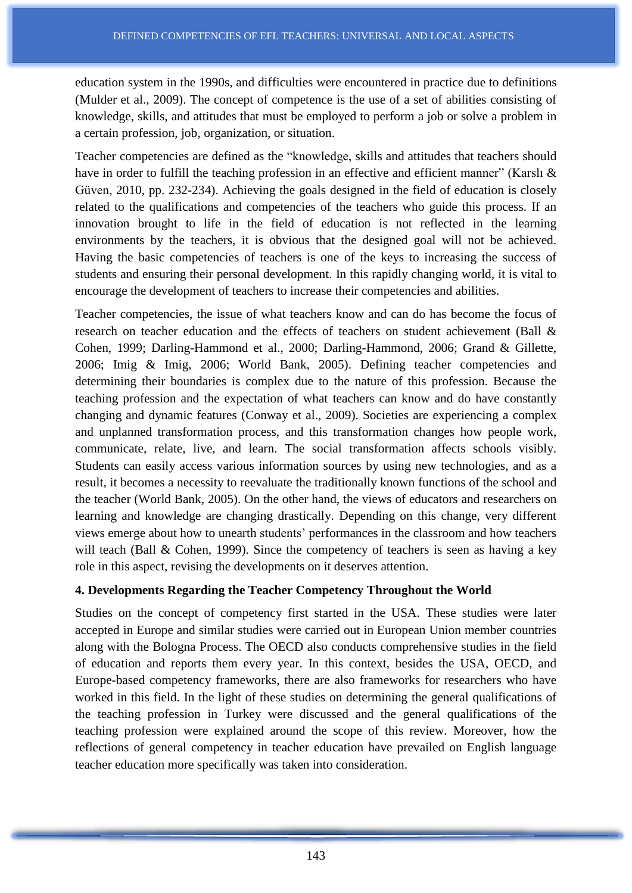education system in the 1990s, and difficulties were encountered in practice due to definitions (Mulder et al., 2009). The concept of competence is the use of a set of abilities consisting of knowledge, skills, and attitudes that must be employed to perform a job or solve a problem in a certain profession, job, organization, or situation.

Teacher competencies are defined as the "knowledge, skills and attitudes that teachers should have in order to fulfill the teaching profession in an effective and efficient manner" (Karslı & Güven, 2010, pp. 232-234). Achieving the goals designed in the field of education is closely related to the qualifications and competencies of the teachers who guide this process. If an innovation brought to life in the field of education is not reflected in the learning environments by the teachers, it is obvious that the designed goal will not be achieved. Having the basic competencies of teachers is one of the keys to increasing the success of students and ensuring their personal development. In this rapidly changing world, it is vital to encourage the development of teachers to increase their competencies and abilities.

Teacher competencies, the issue of what teachers know and can do has become the focus of research on teacher education and the effects of teachers on student achievement (Ball & Cohen, 1999; Darling-Hammond et al., 2000; Darling-Hammond, 2006; Grand & Gillette, 2006; Imig & Imig, 2006; World Bank, 2005). Defining teacher competencies and determining their boundaries is complex due to the nature of this profession. Because the teaching profession and the expectation of what teachers can know and do have constantly changing and dynamic features (Conway et al., 2009). Societies are experiencing a complex and unplanned transformation process, and this transformation changes how people work, communicate, relate, live, and learn. The social transformation affects schools visibly. Students can easily access various information sources by using new technologies, and as a result, it becomes a necessity to reevaluate the traditionally known functions of the school and the teacher (World Bank, 2005). On the other hand, the views of educators and researchers on learning and knowledge are changing drastically. Depending on this change, very different views emerge about how to unearth students' performances in the classroom and how teachers will teach (Ball & Cohen, 1999). Since the competency of teachers is seen as having a key role in this aspect, revising the developments on it deserves attention.

# **4. Developments Regarding the Teacher Competency Throughout the World**

Studies on the concept of competency first started in the USA. These studies were later accepted in Europe and similar studies were carried out in European Union member countries along with the Bologna Process. The OECD also conducts comprehensive studies in the field of education and reports them every year. In this context, besides the USA, OECD, and Europe-based competency frameworks, there are also frameworks for researchers who have worked in this field. In the light of these studies on determining the general qualifications of the teaching profession in Turkey were discussed and the general qualifications of the teaching profession were explained around the scope of this review. Moreover, how the reflections of general competency in teacher education have prevailed on English language teacher education more specifically was taken into consideration.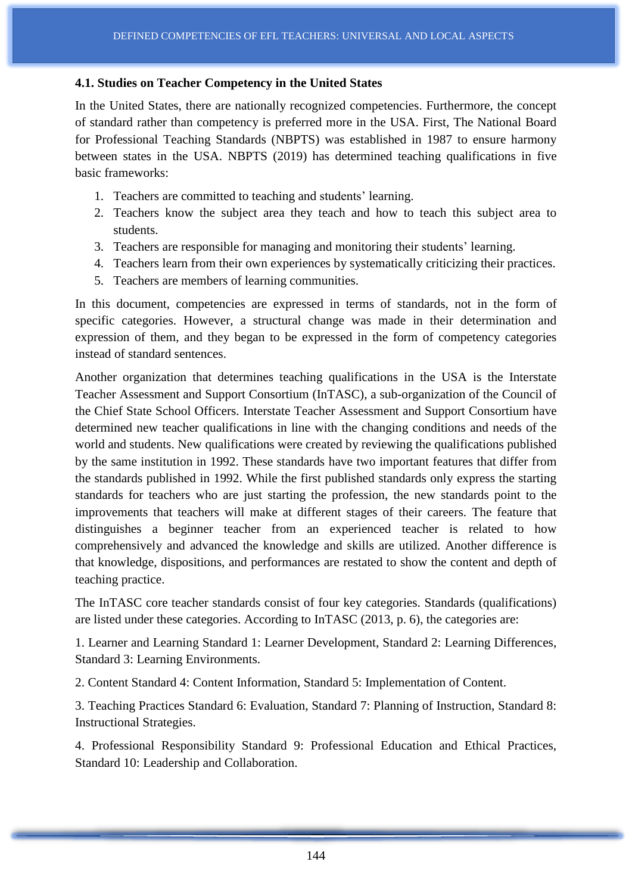#### **4.1. Studies on Teacher Competency in the United States**

In the United States, there are nationally recognized competencies. Furthermore, the concept of standard rather than competency is preferred more in the USA. First, The National Board for Professional Teaching Standards (NBPTS) was established in 1987 to ensure harmony between states in the USA. NBPTS (2019) has determined teaching qualifications in five basic frameworks:

- 1. Teachers are committed to teaching and students' learning.
- 2. Teachers know the subject area they teach and how to teach this subject area to students.
- 3. Teachers are responsible for managing and monitoring their students' learning.
- 4. Teachers learn from their own experiences by systematically criticizing their practices.
- 5. Teachers are members of learning communities.

In this document, competencies are expressed in terms of standards, not in the form of specific categories. However, a structural change was made in their determination and expression of them, and they began to be expressed in the form of competency categories instead of standard sentences.

Another organization that determines teaching qualifications in the USA is the Interstate Teacher Assessment and Support Consortium (InTASC), a sub-organization of the Council of the Chief State School Officers. Interstate Teacher Assessment and Support Consortium have determined new teacher qualifications in line with the changing conditions and needs of the world and students. New qualifications were created by reviewing the qualifications published by the same institution in 1992. These standards have two important features that differ from the standards published in 1992. While the first published standards only express the starting standards for teachers who are just starting the profession, the new standards point to the improvements that teachers will make at different stages of their careers. The feature that distinguishes a beginner teacher from an experienced teacher is related to how comprehensively and advanced the knowledge and skills are utilized. Another difference is that knowledge, dispositions, and performances are restated to show the content and depth of teaching practice.

The InTASC core teacher standards consist of four key categories. Standards (qualifications) are listed under these categories. According to InTASC (2013, p. 6), the categories are:

1. Learner and Learning Standard 1: Learner Development, Standard 2: Learning Differences, Standard 3: Learning Environments.

2. Content Standard 4: Content Information, Standard 5: Implementation of Content.

3. Teaching Practices Standard 6: Evaluation, Standard 7: Planning of Instruction, Standard 8: Instructional Strategies.

4. Professional Responsibility Standard 9: Professional Education and Ethical Practices, Standard 10: Leadership and Collaboration.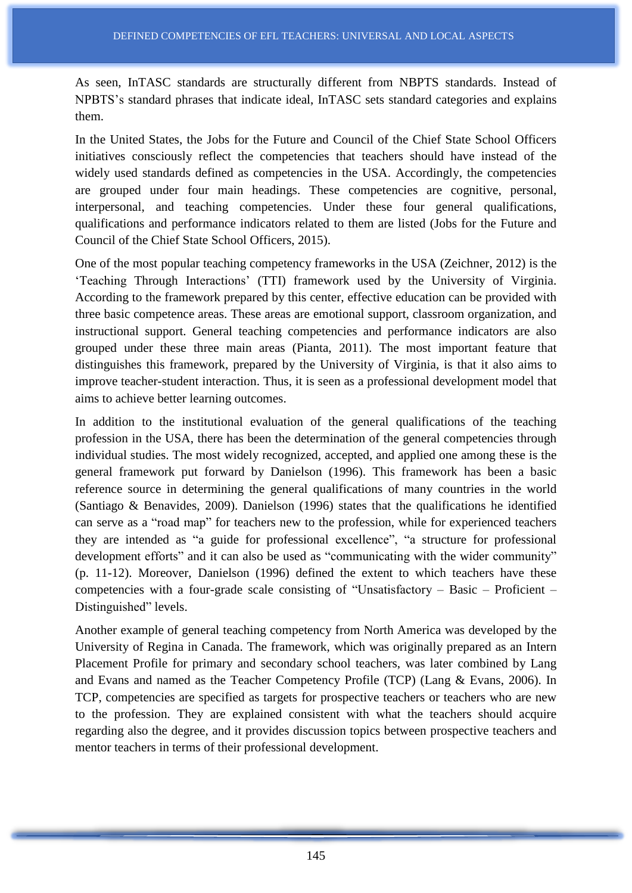As seen, InTASC standards are structurally different from NBPTS standards. Instead of NPBTS's standard phrases that indicate ideal, InTASC sets standard categories and explains them.

In the United States, the Jobs for the Future and Council of the Chief State School Officers initiatives consciously reflect the competencies that teachers should have instead of the widely used standards defined as competencies in the USA. Accordingly, the competencies are grouped under four main headings. These competencies are cognitive, personal, interpersonal, and teaching competencies. Under these four general qualifications, qualifications and performance indicators related to them are listed (Jobs for the Future and Council of the Chief State School Officers, 2015).

One of the most popular teaching competency frameworks in the USA (Zeichner, 2012) is the 'Teaching Through Interactions' (TTI) framework used by the University of Virginia. According to the framework prepared by this center, effective education can be provided with three basic competence areas. These areas are emotional support, classroom organization, and instructional support. General teaching competencies and performance indicators are also grouped under these three main areas (Pianta, 2011). The most important feature that distinguishes this framework, prepared by the University of Virginia, is that it also aims to improve teacher-student interaction. Thus, it is seen as a professional development model that aims to achieve better learning outcomes.

In addition to the institutional evaluation of the general qualifications of the teaching profession in the USA, there has been the determination of the general competencies through individual studies. The most widely recognized, accepted, and applied one among these is the general framework put forward by Danielson (1996). This framework has been a basic reference source in determining the general qualifications of many countries in the world (Santiago & Benavides, 2009). Danielson (1996) states that the qualifications he identified can serve as a "road map" for teachers new to the profession, while for experienced teachers they are intended as "a guide for professional excellence", "a structure for professional development efforts" and it can also be used as "communicating with the wider community" (p. 11-12). Moreover, Danielson (1996) defined the extent to which teachers have these competencies with a four-grade scale consisting of "Unsatisfactory – Basic – Proficient – Distinguished" levels.

Another example of general teaching competency from North America was developed by the University of Regina in Canada. The framework, which was originally prepared as an Intern Placement Profile for primary and secondary school teachers, was later combined by Lang and Evans and named as the Teacher Competency Profile (TCP) (Lang & Evans, 2006). In TCP, competencies are specified as targets for prospective teachers or teachers who are new to the profession. They are explained consistent with what the teachers should acquire regarding also the degree, and it provides discussion topics between prospective teachers and mentor teachers in terms of their professional development.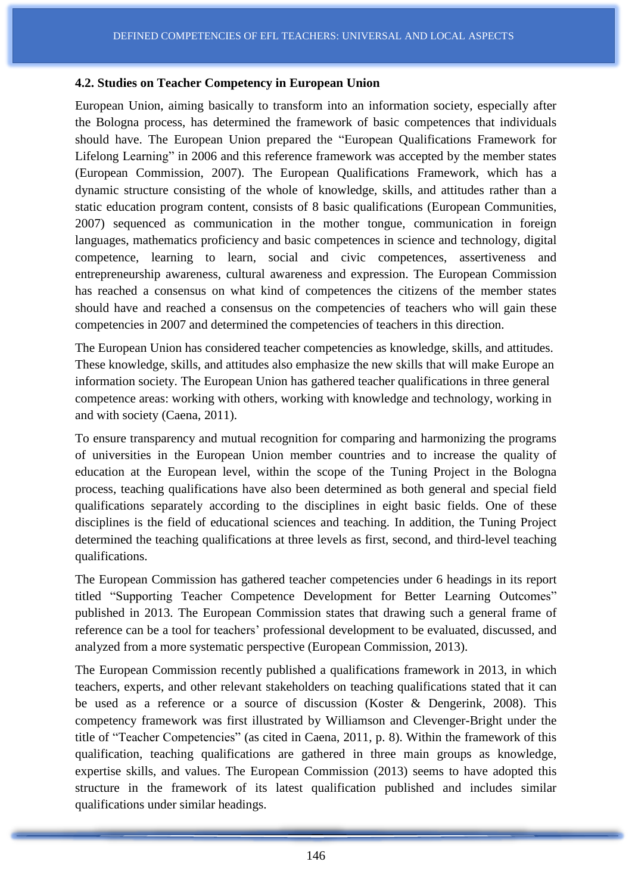#### **4.2. Studies on Teacher Competency in European Union**

European Union, aiming basically to transform into an information society, especially after the Bologna process, has determined the framework of basic competences that individuals should have. The European Union prepared the "European Qualifications Framework for Lifelong Learning" in 2006 and this reference framework was accepted by the member states (European Commission, 2007). The European Qualifications Framework, which has a dynamic structure consisting of the whole of knowledge, skills, and attitudes rather than a static education program content, consists of 8 basic qualifications (European Communities, 2007) sequenced as communication in the mother tongue, communication in foreign languages, mathematics proficiency and basic competences in science and technology, digital competence, learning to learn, social and civic competences, assertiveness and entrepreneurship awareness, cultural awareness and expression. The European Commission has reached a consensus on what kind of competences the citizens of the member states should have and reached a consensus on the competencies of teachers who will gain these competencies in 2007 and determined the competencies of teachers in this direction.

The European Union has considered teacher competencies as knowledge, skills, and attitudes. These knowledge, skills, and attitudes also emphasize the new skills that will make Europe an information society. The European Union has gathered teacher qualifications in three general competence areas: working with others, working with knowledge and technology, working in and with society (Caena, 2011).

To ensure transparency and mutual recognition for comparing and harmonizing the programs of universities in the European Union member countries and to increase the quality of education at the European level, within the scope of the Tuning Project in the Bologna process, teaching qualifications have also been determined as both general and special field qualifications separately according to the disciplines in eight basic fields. One of these disciplines is the field of educational sciences and teaching. In addition, the Tuning Project determined the teaching qualifications at three levels as first, second, and third-level teaching qualifications.

The European Commission has gathered teacher competencies under 6 headings in its report titled "Supporting Teacher Competence Development for Better Learning Outcomes" published in 2013. The European Commission states that drawing such a general frame of reference can be a tool for teachers' professional development to be evaluated, discussed, and analyzed from a more systematic perspective (European Commission, 2013).

The European Commission recently published a qualifications framework in 2013, in which teachers, experts, and other relevant stakeholders on teaching qualifications stated that it can be used as a reference or a source of discussion (Koster & Dengerink, 2008). This competency framework was first illustrated by Williamson and Clevenger-Bright under the title of "Teacher Competencies" (as cited in Caena, 2011, p. 8). Within the framework of this qualification, teaching qualifications are gathered in three main groups as knowledge, expertise skills, and values. The European Commission (2013) seems to have adopted this structure in the framework of its latest qualification published and includes similar qualifications under similar headings.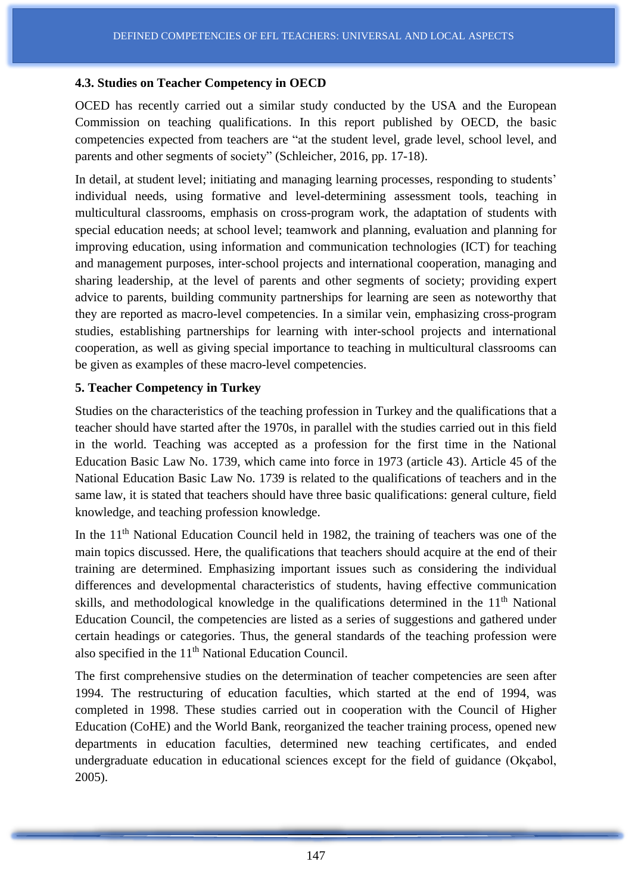#### **4.3. Studies on Teacher Competency in OECD**

OCED has recently carried out a similar study conducted by the USA and the European Commission on teaching qualifications. In this report published by OECD, the basic competencies expected from teachers are "at the student level, grade level, school level, and parents and other segments of society" (Schleicher, 2016, pp. 17-18).

In detail, at student level; initiating and managing learning processes, responding to students' individual needs, using formative and level-determining assessment tools, teaching in multicultural classrooms, emphasis on cross-program work, the adaptation of students with special education needs; at school level; teamwork and planning, evaluation and planning for improving education, using information and communication technologies (ICT) for teaching and management purposes, inter-school projects and international cooperation, managing and sharing leadership, at the level of parents and other segments of society; providing expert advice to parents, building community partnerships for learning are seen as noteworthy that they are reported as macro-level competencies. In a similar vein, emphasizing cross-program studies, establishing partnerships for learning with inter-school projects and international cooperation, as well as giving special importance to teaching in multicultural classrooms can be given as examples of these macro-level competencies.

### **5. Teacher Competency in Turkey**

Studies on the characteristics of the teaching profession in Turkey and the qualifications that a teacher should have started after the 1970s, in parallel with the studies carried out in this field in the world. Teaching was accepted as a profession for the first time in the National Education Basic Law No. 1739, which came into force in 1973 (article 43). Article 45 of the National Education Basic Law No. 1739 is related to the qualifications of teachers and in the same law, it is stated that teachers should have three basic qualifications: general culture, field knowledge, and teaching profession knowledge.

In the  $11<sup>th</sup>$  National Education Council held in 1982, the training of teachers was one of the main topics discussed. Here, the qualifications that teachers should acquire at the end of their training are determined. Emphasizing important issues such as considering the individual differences and developmental characteristics of students, having effective communication skills, and methodological knowledge in the qualifications determined in the  $11<sup>th</sup>$  National Education Council, the competencies are listed as a series of suggestions and gathered under certain headings or categories. Thus, the general standards of the teaching profession were also specified in the 11<sup>th</sup> National Education Council.

The first comprehensive studies on the determination of teacher competencies are seen after 1994. The restructuring of education faculties, which started at the end of 1994, was completed in 1998. These studies carried out in cooperation with the Council of Higher Education (CoHE) and the World Bank, reorganized the teacher training process, opened new departments in education faculties, determined new teaching certificates, and ended undergraduate education in educational sciences except for the field of guidance (Okçabol, 2005).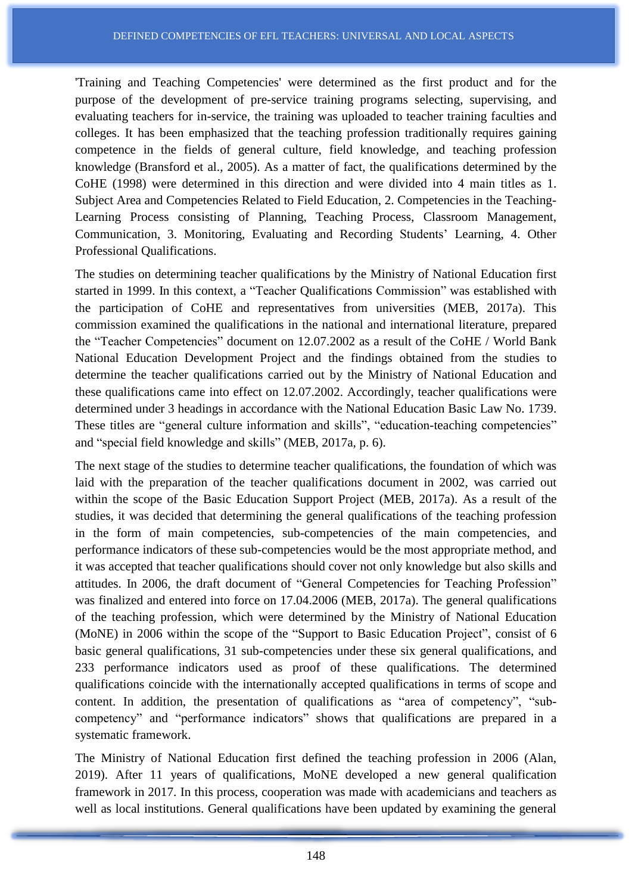'Training and Teaching Competencies' were determined as the first product and for the purpose of the development of pre-service training programs selecting, supervising, and evaluating teachers for in-service, the training was uploaded to teacher training faculties and colleges. It has been emphasized that the teaching profession traditionally requires gaining competence in the fields of general culture, field knowledge, and teaching profession knowledge (Bransford et al., 2005). As a matter of fact, the qualifications determined by the CoHE (1998) were determined in this direction and were divided into 4 main titles as 1. Subject Area and Competencies Related to Field Education, 2. Competencies in the Teaching-Learning Process consisting of Planning, Teaching Process, Classroom Management, Communication, 3. Monitoring, Evaluating and Recording Students' Learning, 4. Other Professional Qualifications.

The studies on determining teacher qualifications by the Ministry of National Education first started in 1999. In this context, a "Teacher Qualifications Commission" was established with the participation of CoHE and representatives from universities (MEB, 2017a). This commission examined the qualifications in the national and international literature, prepared the "Teacher Competencies" document on 12.07.2002 as a result of the CoHE / World Bank National Education Development Project and the findings obtained from the studies to determine the teacher qualifications carried out by the Ministry of National Education and these qualifications came into effect on 12.07.2002. Accordingly, teacher qualifications were determined under 3 headings in accordance with the National Education Basic Law No. 1739. These titles are "general culture information and skills", "education-teaching competencies" and "special field knowledge and skills" (MEB, 2017a, p. 6).

The next stage of the studies to determine teacher qualifications, the foundation of which was laid with the preparation of the teacher qualifications document in 2002, was carried out within the scope of the Basic Education Support Project (MEB, 2017a). As a result of the studies, it was decided that determining the general qualifications of the teaching profession in the form of main competencies, sub-competencies of the main competencies, and performance indicators of these sub-competencies would be the most appropriate method, and it was accepted that teacher qualifications should cover not only knowledge but also skills and attitudes. In 2006, the draft document of "General Competencies for Teaching Profession" was finalized and entered into force on 17.04.2006 (MEB, 2017a). The general qualifications of the teaching profession, which were determined by the Ministry of National Education (MoNE) in 2006 within the scope of the "Support to Basic Education Project", consist of 6 basic general qualifications, 31 sub-competencies under these six general qualifications, and 233 performance indicators used as proof of these qualifications. The determined qualifications coincide with the internationally accepted qualifications in terms of scope and content. In addition, the presentation of qualifications as "area of competency", "subcompetency" and "performance indicators" shows that qualifications are prepared in a systematic framework.

The Ministry of National Education first defined the teaching profession in 2006 (Alan, 2019). After 11 years of qualifications, MoNE developed a new general qualification framework in 2017. In this process, cooperation was made with academicians and teachers as well as local institutions. General qualifications have been updated by examining the general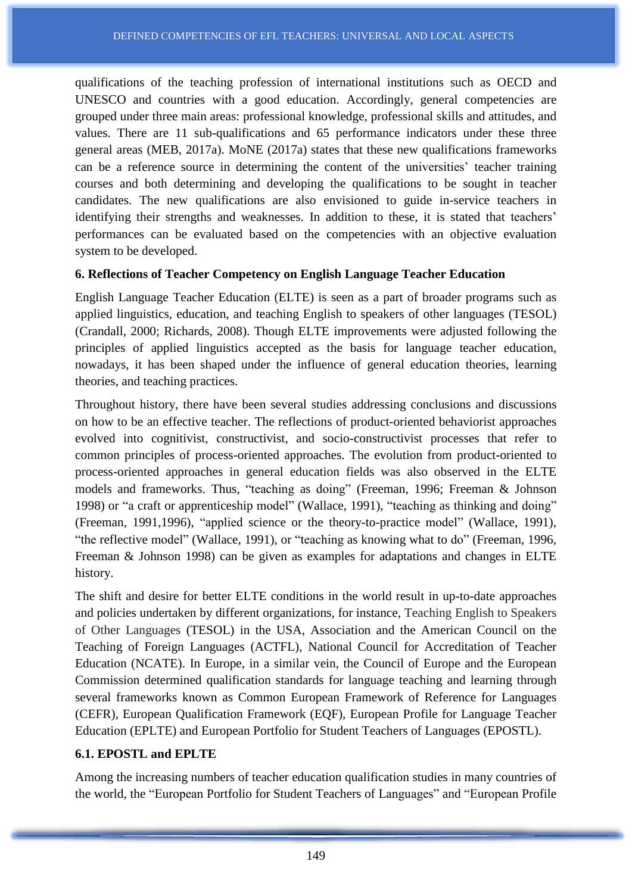qualifications of the teaching profession of international institutions such as OECD and UNESCO and countries with a good education. Accordingly, general competencies are grouped under three main areas: professional knowledge, professional skills and attitudes, and values. There are 11 sub-qualifications and 65 performance indicators under these three general areas (MEB, 2017a). MoNE (2017a) states that these new qualifications frameworks can be a reference source in determining the content of the universities' teacher training courses and both determining and developing the qualifications to be sought in teacher candidates. The new qualifications are also envisioned to guide in-service teachers in identifying their strengths and weaknesses. In addition to these, it is stated that teachers' performances can be evaluated based on the competencies with an objective evaluation system to be developed.

#### **6. Reflections of Teacher Competency on English Language Teacher Education**

English Language Teacher Education (ELTE) is seen as a part of broader programs such as applied linguistics, education, and teaching English to speakers of other languages (TESOL) (Crandall, 2000; Richards, 2008). Though ELTE improvements were adjusted following the principles of applied linguistics accepted as the basis for language teacher education, nowadays, it has been shaped under the influence of general education theories, learning theories, and teaching practices.

Throughout history, there have been several studies addressing conclusions and discussions on how to be an effective teacher. The reflections of product-oriented behaviorist approaches evolved into cognitivist, constructivist, and socio-constructivist processes that refer to common principles of process-oriented approaches. The evolution from product-oriented to process-oriented approaches in general education fields was also observed in the ELTE models and frameworks. Thus, "teaching as doing" (Freeman, 1996; Freeman & Johnson 1998) or "a craft or apprenticeship model" (Wallace, 1991), "teaching as thinking and doing" (Freeman, 1991,1996), "applied science or the theory-to-practice model" (Wallace, 1991), "the reflective model" (Wallace, 1991), or "teaching as knowing what to do" (Freeman, 1996, Freeman & Johnson 1998) can be given as examples for adaptations and changes in ELTE history.

The shift and desire for better ELTE conditions in the world result in up-to-date approaches and policies undertaken by different organizations, for instance, Teaching English to Speakers of Other Languages (TESOL) in the USA, Association and the American Council on the Teaching of Foreign Languages (ACTFL), National Council for Accreditation of Teacher Education (NCATE). In Europe, in a similar vein, the Council of Europe and the European Commission determined qualification standards for language teaching and learning through several frameworks known as Common European Framework of Reference for Languages (CEFR), European Qualification Framework (EQF), European Profile for Language Teacher Education (EPLTE) and European Portfolio for Student Teachers of Languages (EPOSTL).

### **6.1. EPOSTL and EPLTE**

Among the increasing numbers of teacher education qualification studies in many countries of the world, the "European Portfolio for Student Teachers of Languages" and "European Profile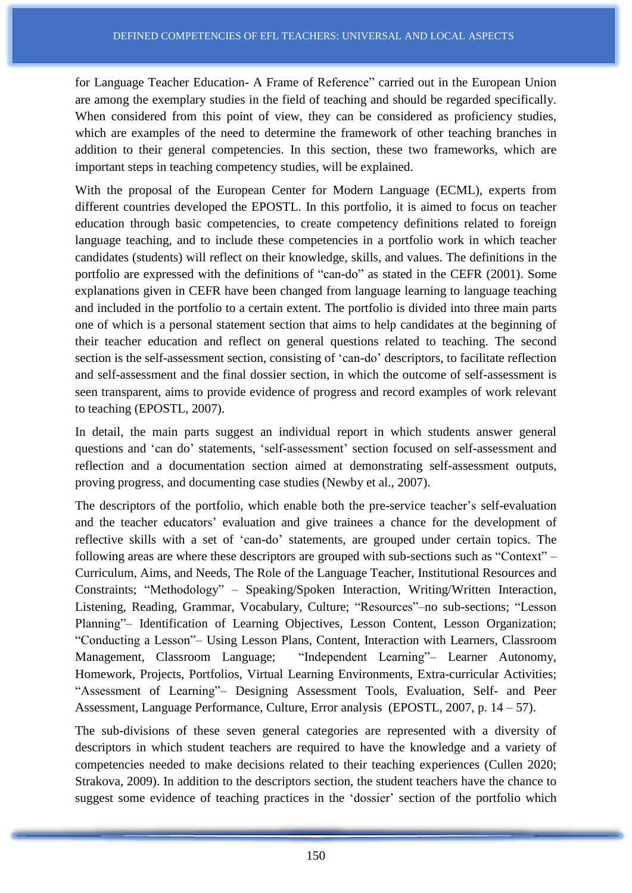for Language Teacher Education- A Frame of Reference" carried out in the European Union are among the exemplary studies in the field of teaching and should be regarded specifically. When considered from this point of view, they can be considered as proficiency studies, which are examples of the need to determine the framework of other teaching branches in addition to their general competencies. In this section, these two frameworks, which are important steps in teaching competency studies, will be explained.

With the proposal of the European Center for Modern Language (ECML), experts from different countries developed the EPOSTL. In this portfolio, it is aimed to focus on teacher education through basic competencies, to create competency definitions related to foreign language teaching, and to include these competencies in a portfolio work in which teacher candidates (students) will reflect on their knowledge, skills, and values. The definitions in the portfolio are expressed with the definitions of "can-do" as stated in the CEFR (2001). Some explanations given in CEFR have been changed from language learning to language teaching and included in the portfolio to a certain extent. The portfolio is divided into three main parts one of which is a personal statement section that aims to help candidates at the beginning of their teacher education and reflect on general questions related to teaching. The second section is the self-assessment section, consisting of 'can-do' descriptors, to facilitate reflection and self-assessment and the final dossier section, in which the outcome of self-assessment is seen transparent, aims to provide evidence of progress and record examples of work relevant to teaching (EPOSTL, 2007).

In detail, the main parts suggest an individual report in which students answer general questions and 'can do' statements, 'self-assessment' section focused on self-assessment and reflection and a documentation section aimed at demonstrating self-assessment outputs, proving progress, and documenting case studies (Newby et al., 2007).

The descriptors of the portfolio, which enable both the pre-service teacher's self-evaluation and the teacher educators' evaluation and give trainees a chance for the development of reflective skills with a set of 'can-do' statements, are grouped under certain topics. The following areas are where these descriptors are grouped with sub-sections such as "Context" – Curriculum, Aims, and Needs, The Role of the Language Teacher, Institutional Resources and Constraints; "Methodology" – Speaking/Spoken Interaction, Writing/Written Interaction, Listening, Reading, Grammar, Vocabulary, Culture; "Resources"–no sub-sections; "Lesson Planning"– Identification of Learning Objectives, Lesson Content, Lesson Organization; "Conducting a Lesson"– Using Lesson Plans, Content, Interaction with Learners, Classroom Management, Classroom Language; "Independent Learning"– Learner Autonomy, Homework, Projects, Portfolios, Virtual Learning Environments, Extra-curricular Activities; "Assessment of Learning"– Designing Assessment Tools, Evaluation, Self- and Peer Assessment, Language Performance, Culture, Error analysis (EPOSTL, 2007, p. 14 – 57).

The sub-divisions of these seven general categories are represented with a diversity of descriptors in which student teachers are required to have the knowledge and a variety of competencies needed to make decisions related to their teaching experiences (Cullen 2020; Strakova, 2009). In addition to the descriptors section, the student teachers have the chance to suggest some evidence of teaching practices in the 'dossier' section of the portfolio which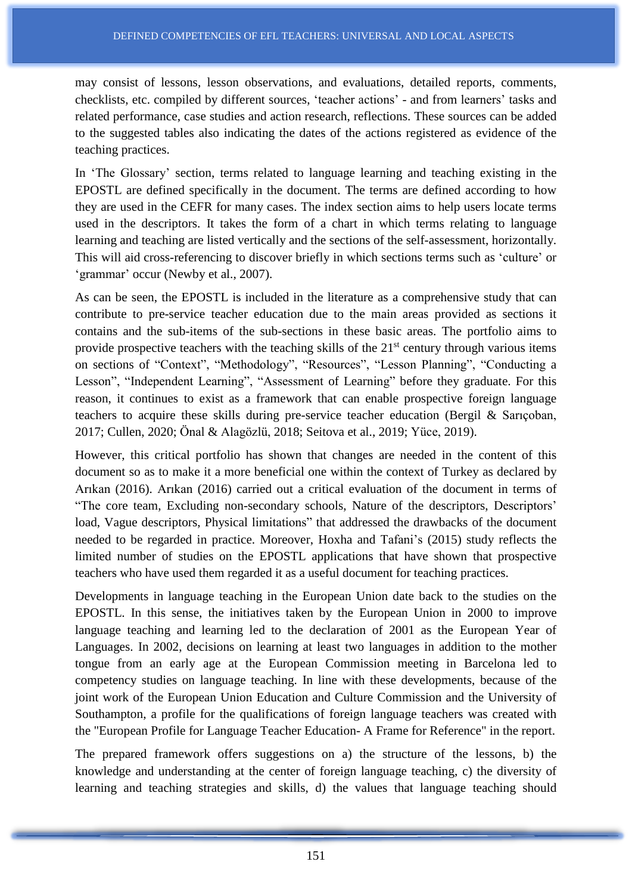may consist of lessons, lesson observations, and evaluations, detailed reports, comments, checklists, etc. compiled by different sources, 'teacher actions' - and from learners' tasks and related performance, case studies and action research, reflections. These sources can be added to the suggested tables also indicating the dates of the actions registered as evidence of the teaching practices.

In 'The Glossary' section, terms related to language learning and teaching existing in the EPOSTL are defined specifically in the document. The terms are defined according to how they are used in the CEFR for many cases. The index section aims to help users locate terms used in the descriptors. It takes the form of a chart in which terms relating to language learning and teaching are listed vertically and the sections of the self-assessment, horizontally. This will aid cross-referencing to discover briefly in which sections terms such as 'culture' or 'grammar' occur (Newby et al., 2007).

As can be seen, the EPOSTL is included in the literature as a comprehensive study that can contribute to pre-service teacher education due to the main areas provided as sections it contains and the sub-items of the sub-sections in these basic areas. The portfolio aims to provide prospective teachers with the teaching skills of the  $21<sup>st</sup>$  century through various items on sections of "Context", "Methodology", "Resources", "Lesson Planning", "Conducting a Lesson", "Independent Learning", "Assessment of Learning" before they graduate. For this reason, it continues to exist as a framework that can enable prospective foreign language teachers to acquire these skills during pre-service teacher education (Bergil & Sarıçoban, 2017; Cullen, 2020; Önal & Alagözlü, 2018; Seitova et al., 2019; Yüce, 2019).

However, this critical portfolio has shown that changes are needed in the content of this document so as to make it a more beneficial one within the context of Turkey as declared by Arıkan (2016). Arıkan (2016) carried out a critical evaluation of the document in terms of "The core team, Excluding non-secondary schools, Nature of the descriptors, Descriptors' load, Vague descriptors, Physical limitations" that addressed the drawbacks of the document needed to be regarded in practice. Moreover, Hoxha and Tafani's (2015) study reflects the limited number of studies on the EPOSTL applications that have shown that prospective teachers who have used them regarded it as a useful document for teaching practices.

Developments in language teaching in the European Union date back to the studies on the EPOSTL. In this sense, the initiatives taken by the European Union in 2000 to improve language teaching and learning led to the declaration of 2001 as the European Year of Languages. In 2002, decisions on learning at least two languages in addition to the mother tongue from an early age at the European Commission meeting in Barcelona led to competency studies on language teaching. In line with these developments, because of the joint work of the European Union Education and Culture Commission and the University of Southampton, a profile for the qualifications of foreign language teachers was created with the "European Profile for Language Teacher Education- A Frame for Reference" in the report.

The prepared framework offers suggestions on a) the structure of the lessons, b) the knowledge and understanding at the center of foreign language teaching, c) the diversity of learning and teaching strategies and skills, d) the values that language teaching should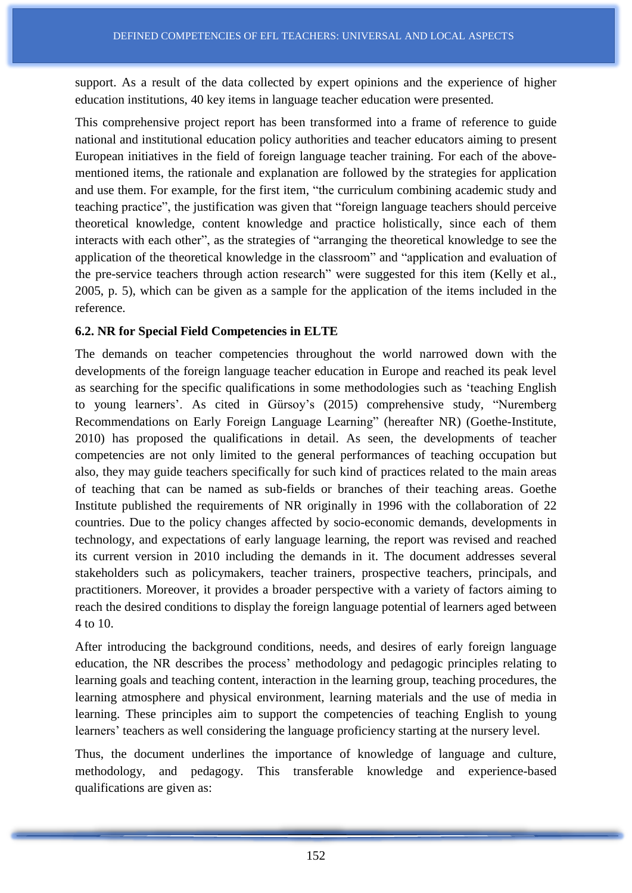support. As a result of the data collected by expert opinions and the experience of higher education institutions, 40 key items in language teacher education were presented.

This comprehensive project report has been transformed into a frame of reference to guide national and institutional education policy authorities and teacher educators aiming to present European initiatives in the field of foreign language teacher training. For each of the abovementioned items, the rationale and explanation are followed by the strategies for application and use them. For example, for the first item, "the curriculum combining academic study and teaching practice", the justification was given that "foreign language teachers should perceive theoretical knowledge, content knowledge and practice holistically, since each of them interacts with each other", as the strategies of "arranging the theoretical knowledge to see the application of the theoretical knowledge in the classroom" and "application and evaluation of the pre-service teachers through action research" were suggested for this item (Kelly et al., 2005, p. 5), which can be given as a sample for the application of the items included in the reference.

# **6.2. NR for Special Field Competencies in ELTE**

The demands on teacher competencies throughout the world narrowed down with the developments of the foreign language teacher education in Europe and reached its peak level as searching for the specific qualifications in some methodologies such as 'teaching English to young learners'. As cited in Gürsoy's (2015) comprehensive study, "Nuremberg Recommendations on Early Foreign Language Learning" (hereafter NR) (Goethe-Institute, 2010) has proposed the qualifications in detail. As seen, the developments of teacher competencies are not only limited to the general performances of teaching occupation but also, they may guide teachers specifically for such kind of practices related to the main areas of teaching that can be named as sub-fields or branches of their teaching areas. Goethe Institute published the requirements of NR originally in 1996 with the collaboration of 22 countries. Due to the policy changes affected by socio-economic demands, developments in technology, and expectations of early language learning, the report was revised and reached its current version in 2010 including the demands in it. The document addresses several stakeholders such as policymakers, teacher trainers, prospective teachers, principals, and practitioners. Moreover, it provides a broader perspective with a variety of factors aiming to reach the desired conditions to display the foreign language potential of learners aged between 4 to 10.

After introducing the background conditions, needs, and desires of early foreign language education, the NR describes the process' methodology and pedagogic principles relating to learning goals and teaching content, interaction in the learning group, teaching procedures, the learning atmosphere and physical environment, learning materials and the use of media in learning. These principles aim to support the competencies of teaching English to young learners' teachers as well considering the language proficiency starting at the nursery level.

Thus, the document underlines the importance of knowledge of language and culture, methodology, and pedagogy. This transferable knowledge and experience-based qualifications are given as: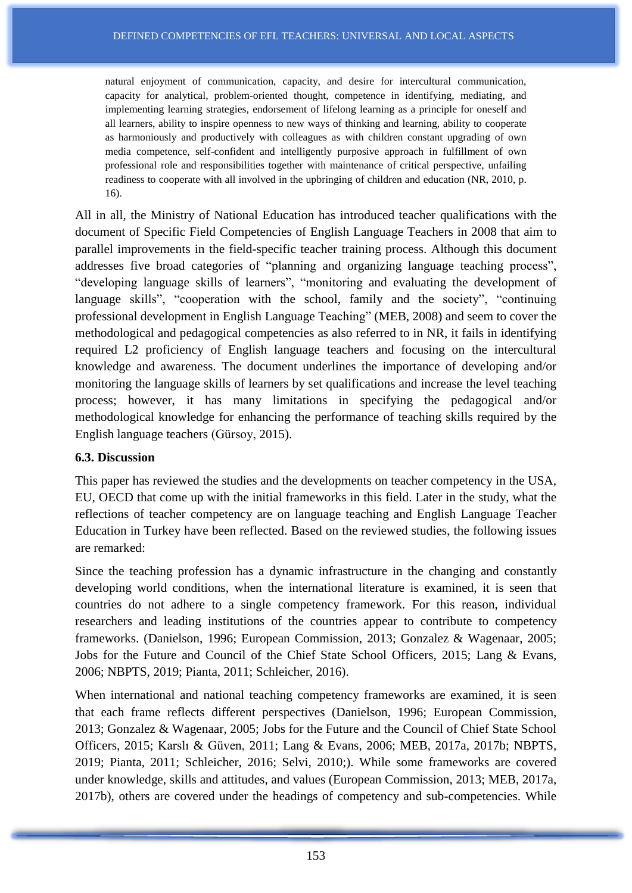natural enjoyment of communication, capacity, and desire for intercultural communication, capacity for analytical, problem-oriented thought, competence in identifying, mediating, and implementing learning strategies, endorsement of lifelong learning as a principle for oneself and all learners, ability to inspire openness to new ways of thinking and learning, ability to cooperate as harmoniously and productively with colleagues as with children constant upgrading of own media competence, self-confident and intelligently purposive approach in fulfillment of own professional role and responsibilities together with maintenance of critical perspective, unfailing readiness to cooperate with all involved in the upbringing of children and education (NR, 2010, p. 16).

All in all, the Ministry of National Education has introduced teacher qualifications with the document of Specific Field Competencies of English Language Teachers in 2008 that aim to parallel improvements in the field-specific teacher training process. Although this document addresses five broad categories of "planning and organizing language teaching process", "developing language skills of learners", "monitoring and evaluating the development of language skills", "cooperation with the school, family and the society", "continuing professional development in English Language Teaching" (MEB, 2008) and seem to cover the methodological and pedagogical competencies as also referred to in NR, it fails in identifying required L2 proficiency of English language teachers and focusing on the intercultural knowledge and awareness. The document underlines the importance of developing and/or monitoring the language skills of learners by set qualifications and increase the level teaching process; however, it has many limitations in specifying the pedagogical and/or methodological knowledge for enhancing the performance of teaching skills required by the English language teachers (Gürsoy, 2015).

#### **6.3. Discussion**

This paper has reviewed the studies and the developments on teacher competency in the USA, EU, OECD that come up with the initial frameworks in this field. Later in the study, what the reflections of teacher competency are on language teaching and English Language Teacher Education in Turkey have been reflected. Based on the reviewed studies, the following issues are remarked:

Since the teaching profession has a dynamic infrastructure in the changing and constantly developing world conditions, when the international literature is examined, it is seen that countries do not adhere to a single competency framework. For this reason, individual researchers and leading institutions of the countries appear to contribute to competency frameworks. (Danielson, 1996; European Commission, 2013; Gonzalez & Wagenaar, 2005; Jobs for the Future and Council of the Chief State School Officers, 2015; Lang & Evans, 2006; NBPTS, 2019; Pianta, 2011; Schleicher, 2016).

When international and national teaching competency frameworks are examined, it is seen that each frame reflects different perspectives (Danielson, 1996; European Commission, 2013; Gonzalez & Wagenaar, 2005; Jobs for the Future and the Council of Chief State School Officers, 2015; Karslı & Güven, 2011; Lang & Evans, 2006; MEB, 2017a, 2017b; NBPTS, 2019; Pianta, 2011; Schleicher, 2016; Selvi, 2010;). While some frameworks are covered under knowledge, skills and attitudes, and values (European Commission, 2013; MEB, 2017a, 2017b), others are covered under the headings of competency and sub-competencies. While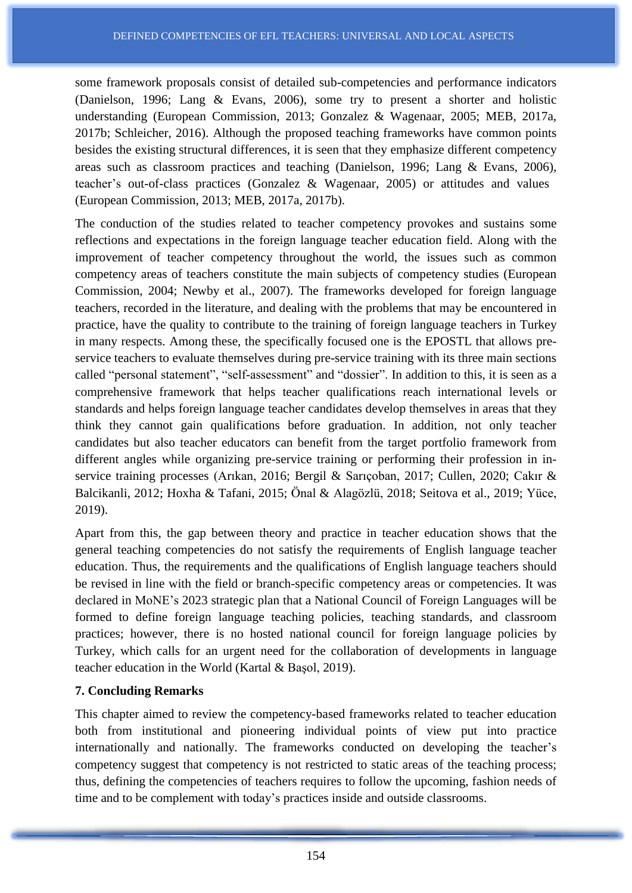some framework proposals consist of detailed sub-competencies and performance indicators (Danielson, 1996; Lang & Evans, 2006), some try to present a shorter and holistic understanding (European Commission, 2013; Gonzalez & Wagenaar, 2005; MEB, 2017a, 2017b; Schleicher, 2016). Although the proposed teaching frameworks have common points besides the existing structural differences, it is seen that they emphasize different competency areas such as classroom practices and teaching (Danielson, 1996; Lang & Evans, 2006), teacher's out-of-class practices (Gonzalez & Wagenaar, 2005) or attitudes and values (European Commission, 2013; MEB, 2017a, 2017b).

The conduction of the studies related to teacher competency provokes and sustains some reflections and expectations in the foreign language teacher education field. Along with the improvement of teacher competency throughout the world, the issues such as common competency areas of teachers constitute the main subjects of competency studies (European Commission, 2004; Newby et al., 2007). The frameworks developed for foreign language teachers, recorded in the literature, and dealing with the problems that may be encountered in practice, have the quality to contribute to the training of foreign language teachers in Turkey in many respects. Among these, the specifically focused one is the EPOSTL that allows preservice teachers to evaluate themselves during pre-service training with its three main sections called "personal statement", "self-assessment" and "dossier". In addition to this, it is seen as a comprehensive framework that helps teacher qualifications reach international levels or standards and helps foreign language teacher candidates develop themselves in areas that they think they cannot gain qualifications before graduation. In addition, not only teacher candidates but also teacher educators can benefit from the target portfolio framework from different angles while organizing pre-service training or performing their profession in inservice training processes (Arıkan, 2016; Bergil & Sarıçoban, 2017; Cullen, 2020; Cakır & Balcikanli, 2012; Hoxha & Tafani, 2015; Önal & Alagözlü, 2018; Seitova et al., 2019; Yüce, 2019).

Apart from this, the gap between theory and practice in teacher education shows that the general teaching competencies do not satisfy the requirements of English language teacher education. Thus, the requirements and the qualifications of English language teachers should be revised in line with the field or branch-specific competency areas or competencies. It was declared in MoNE's 2023 strategic plan that a National Council of Foreign Languages will be formed to define foreign language teaching policies, teaching standards, and classroom practices; however, there is no hosted national council for foreign language policies by Turkey, which calls for an urgent need for the collaboration of developments in language teacher education in the World (Kartal & Başol, 2019).

#### **7. Concluding Remarks**

This chapter aimed to review the competency-based frameworks related to teacher education both from institutional and pioneering individual points of view put into practice internationally and nationally. The frameworks conducted on developing the teacher's competency suggest that competency is not restricted to static areas of the teaching process; thus, defining the competencies of teachers requires to follow the upcoming, fashion needs of time and to be complement with today's practices inside and outside classrooms.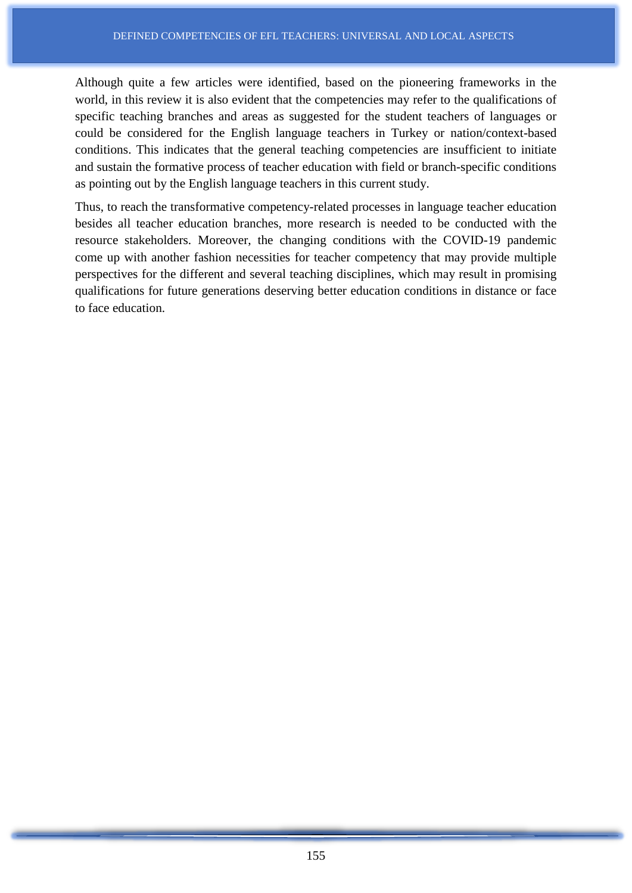Although quite a few articles were identified, based on the pioneering frameworks in the world, in this review it is also evident that the competencies may refer to the qualifications of specific teaching branches and areas as suggested for the student teachers of languages or could be considered for the English language teachers in Turkey or nation/context-based conditions. This indicates that the general teaching competencies are insufficient to initiate and sustain the formative process of teacher education with field or branch-specific conditions as pointing out by the English language teachers in this current study.

Thus, to reach the transformative competency-related processes in language teacher education besides all teacher education branches, more research is needed to be conducted with the resource stakeholders. Moreover, the changing conditions with the COVID-19 pandemic come up with another fashion necessities for teacher competency that may provide multiple perspectives for the different and several teaching disciplines, which may result in promising qualifications for future generations deserving better education conditions in distance or face to face education.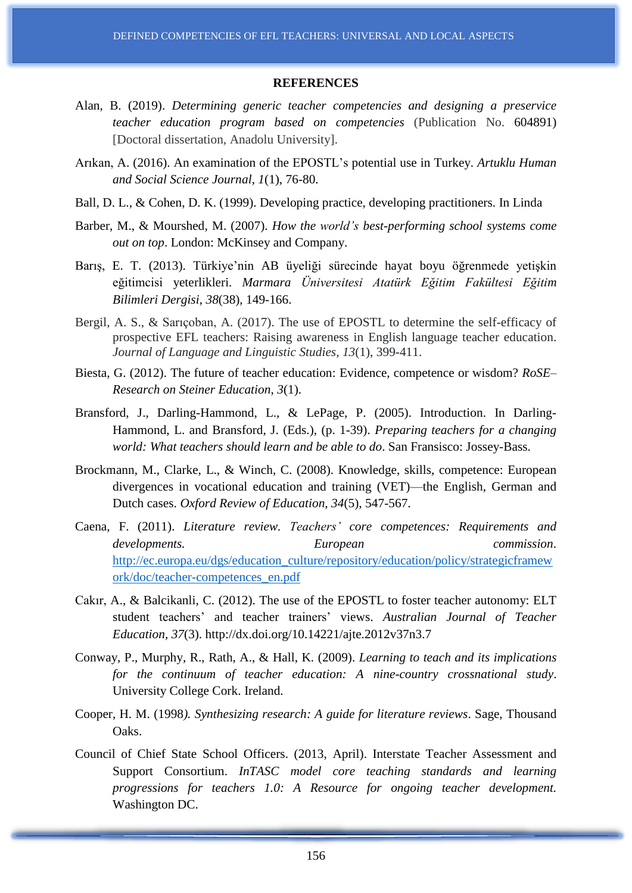#### **REFERENCES**

- Alan, B. (2019). *Determining generic teacher competencies and designing a preservice teacher education program based on competencies* (Publication No. 604891) [Doctoral dissertation, Anadolu University].
- Arıkan, A. (2016). An examination of the EPOSTL's potential use in Turkey. *Artuklu Human and Social Science Journal*, *1*(1), 76-80.
- Ball, D. L., & Cohen, D. K. (1999). Developing practice, developing practitioners. In Linda
- Barber, M., & Mourshed, M. (2007). *How the world's best-performing school systems come out on top*. London: McKinsey and Company.
- Barış, E. T. (2013). Türkiye'nin AB üyeliği sürecinde hayat boyu öğrenmede yetişkin eğitimcisi yeterlikleri. *Marmara Üniversitesi Atatürk Eğitim Fakültesi Eğitim Bilimleri Dergisi*, *38*(38), 149-166.
- Bergil, A. S., & Sarıçoban, A. (2017). The use of EPOSTL to determine the self-efficacy of prospective EFL teachers: Raising awareness in English language teacher education. *Journal of Language and Linguistic Studies, 13*(1), 399-411.
- Biesta, G. (2012). The future of teacher education: Evidence, competence or wisdom? *RoSE– Research on Steiner Education*, *3*(1).
- Bransford, J., Darling-Hammond, L., & LePage, P. (2005). Introduction. In Darling-Hammond, L. and Bransford, J. (Eds.), (p. 1-39). *Preparing teachers for a changing world: What teachers should learn and be able to do*. San Fransisco: Jossey-Bass.
- Brockmann, M., Clarke, L., & Winch, C. (2008). Knowledge, skills, competence: European divergences in vocational education and training (VET)—the English, German and Dutch cases. *Oxford Review of Education*, *34*(5), 547-567.
- Caena, F. (2011). *Literature review. Teachers' core competences: Requirements and developments. European commission*. [http://ec.europa.eu/dgs/education\\_culture/repository/education/policy/strategicframew](http://ec.europa.eu/dgs/education_culture/repository/education/policy/strategicframework/doc/teacher-competences_en.pdf) [ork/doc/teacher-competences\\_en.pdf](http://ec.europa.eu/dgs/education_culture/repository/education/policy/strategicframework/doc/teacher-competences_en.pdf)
- Cakır, A., & Balcikanli, C. (2012). The use of the EPOSTL to foster teacher autonomy: ELT student teachers' and teacher trainers' views. *Australian Journal of Teacher Education, 37*(3). http://dx.doi.org/10.14221/ajte.2012v37n3.7
- Conway, P., Murphy, R., Rath, A., & Hall, K. (2009). *Learning to teach and its implications for the continuum of teacher education: A nine-country crossnational study*. University College Cork. Ireland.
- Cooper, H. M. (1998*). Synthesizing research: A guide for literature reviews*. Sage, Thousand Oaks.
- Council of Chief State School Officers. (2013, April). Interstate Teacher Assessment and Support Consortium. *InTASC model core teaching standards and learning progressions for teachers 1.0: A Resource for ongoing teacher development.* Washington DC.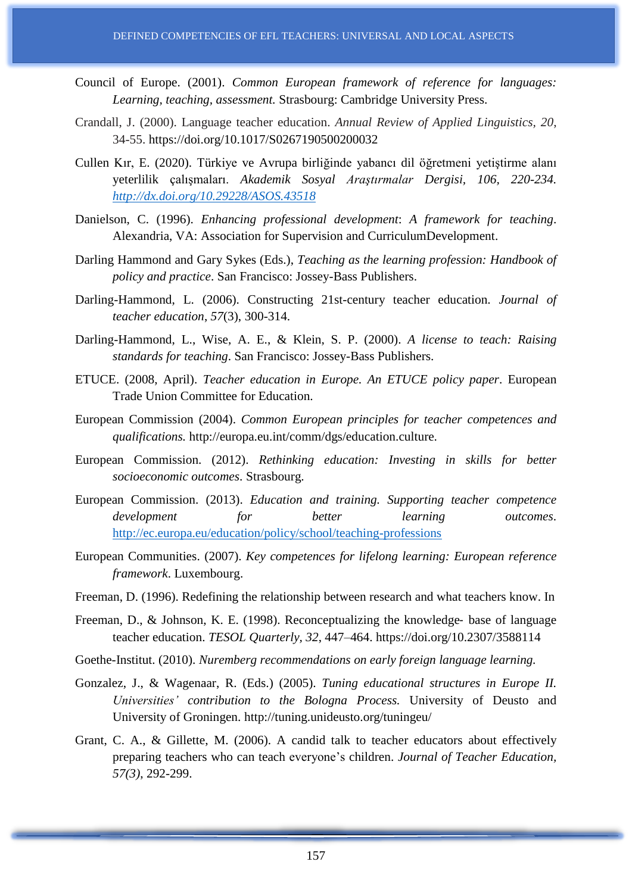- Council of Europe. (2001). *Common European framework of reference for languages: Learning, teaching, assessment.* Strasbourg: Cambridge University Press.
- Crandall, J. (2000). Language teacher education. *Annual Review of Applied Linguistics, 20*, 34-55. https://doi.org/10.1017/S0267190500200032
- Cullen Kır, E. (2020). Türkiye ve Avrupa birliğinde yabancı dil öğretmeni yetiştirme alanı yeterlilik çalışmaları. *Akademik Sosyal Araştırmalar Dergisi, 106, 220-234. <http://dx.doi.org/10.29228/ASOS.43518>*
- Danielson, C. (1996). *Enhancing professional development*: *A framework for teaching*. Alexandria, VA: Association for Supervision and CurriculumDevelopment.
- Darling Hammond and Gary Sykes (Eds.), *Teaching as the learning profession: Handbook of policy and practice*. San Francisco: Jossey-Bass Publishers.
- Darling-Hammond, L. (2006). Constructing 21st-century teacher education. *Journal of teacher education*, *57*(3), 300-314.
- Darling-Hammond, L., Wise, A. E., & Klein, S. P. (2000). *A license to teach: Raising standards for teaching*. San Francisco: Jossey-Bass Publishers.
- ETUCE. (2008, April). *Teacher education in Europe. An ETUCE policy paper*. European Trade Union Committee for Education.
- European Commission (2004). *Common European principles for teacher competences and qualifications.* http://europa.eu.int/comm/dgs/education.culture.
- European Commission. (2012). *Rethinking education: Investing in skills for better socioeconomic outcomes*. Strasbourg.
- European Commission. (2013). *Education and training. Supporting teacher competence development for better learning outcomes*. <http://ec.europa.eu/education/policy/school/teaching-professions>
- European Communities. (2007). *Key competences for lifelong learning: European reference framework*. Luxembourg.
- Freeman, D. (1996). Redefining the relationship between research and what teachers know. In
- Freeman, D., & Johnson, K. E. (1998). Reconceptualizing the knowledge- base of language teacher education. *TESOL Quarterly, 32*, 447–464. https://doi.org/10.2307/3588114
- Goethe-Institut. (2010). *Nuremberg recommendations on early foreign language learning.*
- Gonzalez, J., & Wagenaar, R. (Eds.) (2005). *Tuning educational structures in Europe II. Universities' contribution to the Bologna Process.* University of Deusto and University of Groningen. http://tuning.unideusto.org/tuningeu/
- Grant, C. A., & Gillette, M. (2006). A candid talk to teacher educators about effectively preparing teachers who can teach everyone's children. *Journal of Teacher Education, 57(3)*, 292-299.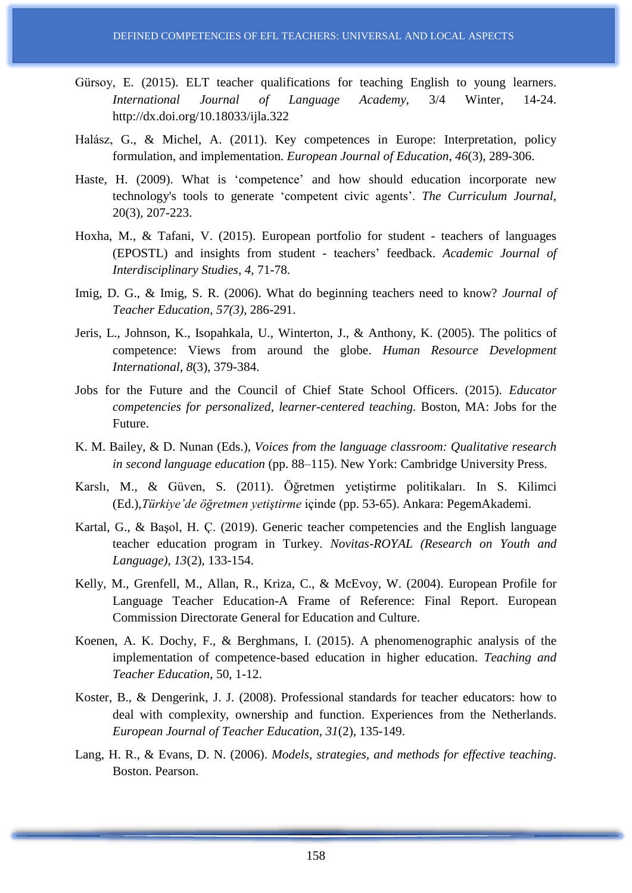- Gürsoy, E. (2015). ELT teacher qualifications for teaching English to young learners. *International Journal of Language Academy*, 3/4 Winter, 14-24. http://dx.doi.org/10.18033/ijla.322
- Halász, G., & Michel, A. (2011). Key competences in Europe: Interpretation, policy formulation, and implementation. *European Journal of Education*, *46*(3), 289-306.
- Haste, H. (2009). What is 'competence' and how should education incorporate new technology's tools to generate 'competent civic agents'. *The Curriculum Journal*, 20(3), 207-223.
- Hoxha, M., & Tafani, V. (2015). European portfolio for student teachers of languages (EPOSTL) and insights from student - teachers' feedback. *Academic Journal of Interdisciplinary Studies, 4*, 71-78.
- Imig, D. G., & Imig, S. R. (2006). What do beginning teachers need to know? *Journal of Teacher Education, 57(3)*, 286-291.
- Jeris, L., Johnson, K., Isopahkala, U., Winterton, J., & Anthony, K. (2005). The politics of competence: Views from around the globe. *Human Resource Development International*, *8*(3), 379-384.
- Jobs for the Future and the Council of Chief State School Officers. (2015). *Educator competencies for personalized, learner-centered teaching.* Boston, MA: Jobs for the Future.
- K. M. Bailey, & D. Nunan (Eds.), *Voices from the language classroom: Qualitative research in second language education* (pp. 88–115). New York: Cambridge University Press.
- Karslı, M., & Güven, S. (2011). Öğretmen yetiştirme politikaları. In S. Kilimci (Ed.),*Türkiye'de öğretmen yetiştirme* içinde (pp. 53-65). Ankara: PegemAkademi.
- Kartal, G., & Başol, H. Ç. (2019). Generic teacher competencies and the English language teacher education program in Turkey. *Novitas-ROYAL (Research on Youth and Language), 13*(2), 133-154.
- Kelly, M., Grenfell, M., Allan, R., Kriza, C., & McEvoy, W. (2004). European Profile for Language Teacher Education-A Frame of Reference: Final Report. European Commission Directorate General for Education and Culture.
- Koenen, A. K. Dochy, F., & Berghmans, I. (2015). A phenomenographic analysis of the implementation of competence-based education in higher education. *Teaching and Teacher Education*, 50, 1-12.
- Koster, B., & Dengerink, J. J. (2008). Professional standards for teacher educators: how to deal with complexity, ownership and function. Experiences from the Netherlands. *European Journal of Teacher Education*, *31*(2), 135-149.
- Lang, H. R., & Evans, D. N. (2006). *Models, strategies, and methods for effective teaching*. Boston. Pearson.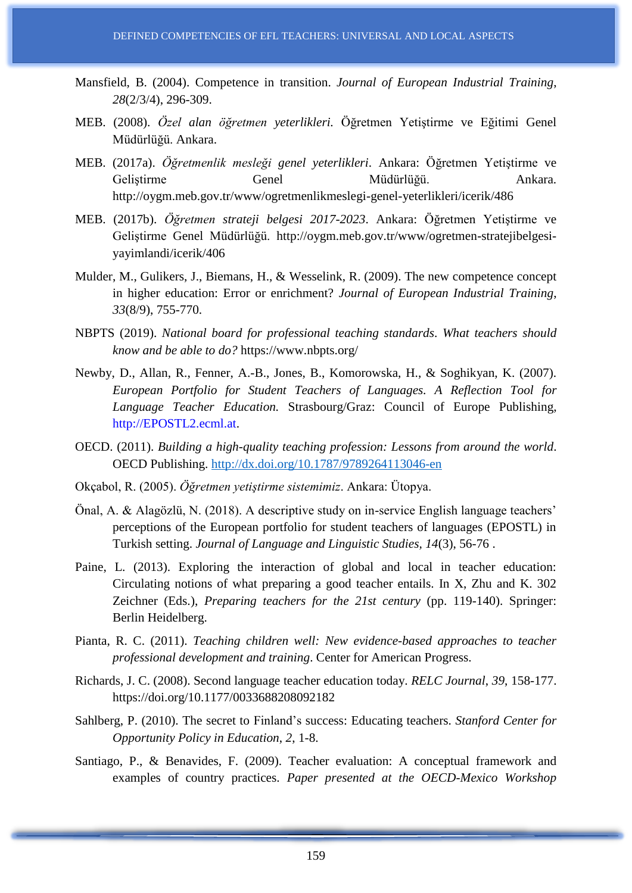- Mansfield, B. (2004). Competence in transition. *Journal of European Industrial Training*, *28*(2/3/4), 296-309.
- MEB. (2008). *Özel alan öğretmen yeterlikleri.* Öğretmen Yetiştirme ve Eğitimi Genel Müdürlüğü. Ankara.
- MEB. (2017a). *Öğretmenlik mesleği genel yeterlikleri*. Ankara: Öğretmen Yetiştirme ve Geliştirme Genel Müdürlüğü. Ankara. http://oygm.meb.gov.tr/www/ogretmenlikmeslegi-genel-yeterlikleri/icerik/486
- MEB. (2017b). *Öğretmen strateji belgesi 2017-2023*. Ankara: Öğretmen Yetiştirme ve Geliştirme Genel Müdürlüğü. http://oygm.meb.gov.tr/www/ogretmen-stratejibelgesiyayimlandi/icerik/406
- Mulder, M., Gulikers, J., Biemans, H., & Wesselink, R. (2009). The new competence concept in higher education: Error or enrichment? *Journal of European Industrial Training*, *33*(8/9), 755-770.
- NBPTS (2019). *National board for professional teaching standards*. *What teachers should know and be able to do?* https://www.nbpts.org/
- Newby, D., Allan, R., Fenner, A.-B., Jones, B., Komorowska, H., & Soghikyan, K. (2007). *European Portfolio for Student Teachers of Languages. A Reflection Tool for Language Teacher Education.* Strasbourg/Graz: Council of Europe Publishing, http://EPOSTL2.ecml.at.
- OECD. (2011). *Building a high-quality teaching profession: Lessons from around the world*. OECD Publishing. <http://dx.doi.org/10.1787/9789264113046-en>
- Okçabol, R. (2005). *Öğretmen yetiştirme sistemimiz*. Ankara: Ütopya.
- Önal, A. & Alagözlü, N. (2018). A descriptive study on in-service English language teachers' perceptions of the European portfolio for student teachers of languages (EPOSTL) in Turkish setting. *Journal of Language and Linguistic Studies, 14*(3), 56-76 .
- Paine, L. (2013). Exploring the interaction of global and local in teacher education: Circulating notions of what preparing a good teacher entails. In X, Zhu and K. 302 Zeichner (Eds.), *Preparing teachers for the 21st century* (pp. 119-140). Springer: Berlin Heidelberg.
- Pianta, R. C. (2011). *Teaching children well: New evidence-based approaches to teacher professional development and training*. Center for American Progress.
- Richards, J. C. (2008). Second language teacher education today. *RELC Journal*, *39*, 158-177. https://doi.org/10.1177/0033688208092182
- Sahlberg, P. (2010). The secret to Finland's success: Educating teachers. *Stanford Center for Opportunity Policy in Education*, *2*, 1-8.
- Santiago, P., & Benavides, F. (2009). Teacher evaluation: A conceptual framework and examples of country practices. *Paper presented at the OECD-Mexico Workshop*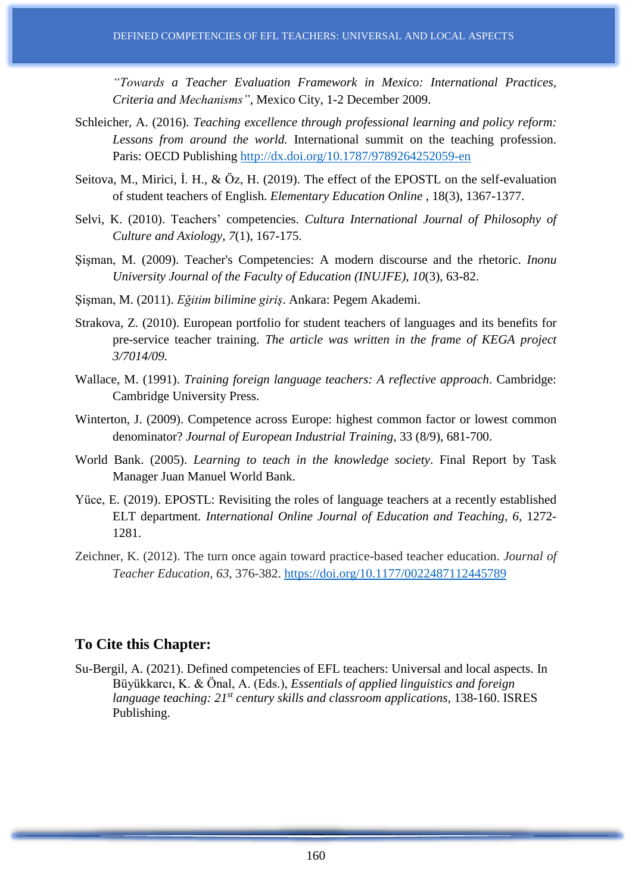*"Towards a Teacher Evaluation Framework in Mexico: International Practices, Criteria and Mechanisms"*, Mexico City, 1-2 December 2009.

- Schleicher, A. (2016). *Teaching excellence through professional learning and policy reform: Lessons from around the world.* International summit on the teaching profession. Paris: OECD Publishing <http://dx.doi.org/10.1787/9789264252059-en>
- Seitova, M., Mirici, İ. H., & Öz, H. (2019). The effect of the EPOSTL on the self-evaluation of student teachers of English. *Elementary Education Online* , 18(3), 1367-1377.
- Selvi, K. (2010). Teachers' competencies. *Cultura International Journal of Philosophy of Culture and Axiology*, *7*(1), 167-175.
- Şişman, M. (2009). Teacher's Competencies: A modern discourse and the rhetoric. *Inonu University Journal of the Faculty of Education (INUJFE)*, *10*(3), 63-82.
- Şişman, M. (2011). *Eğitim bilimine giriş*. Ankara: Pegem Akademi.
- Strakova, Z. (2010). European portfolio for student teachers of languages and its benefits for pre-service teacher training. *The article was written in the frame of KEGA project 3/7014/09.*
- Wallace, M. (1991). *Training foreign language teachers: A reflective approach*. Cambridge: Cambridge University Press.
- Winterton, J. (2009). Competence across Europe: highest common factor or lowest common denominator? *Journal of European Industrial Training*, 33 (8/9), 681-700.
- World Bank. (2005). *Learning to teach in the knowledge society*. Final Report by Task Manager Juan Manuel World Bank.
- Yüce, E. (2019). EPOSTL: Revisiting the roles of language teachers at a recently established ELT department. *International Online Journal of Education and Teaching, 6*, 1272- 1281.
- Zeichner, K. (2012). The turn once again toward practice-based teacher education. *Journal of Teacher Education, 63*, 376-382. <https://doi.org/10.1177/0022487112445789>

# **To Cite this Chapter:**

Su-Bergil, A. (2021). Defined competencies of EFL teachers: Universal and local aspects. In Büyükkarcı, K. & Önal, A. (Eds.), *Essentials of applied linguistics and foreign language teaching: 21st century skills and classroom applications*, 138-160. ISRES Publishing.